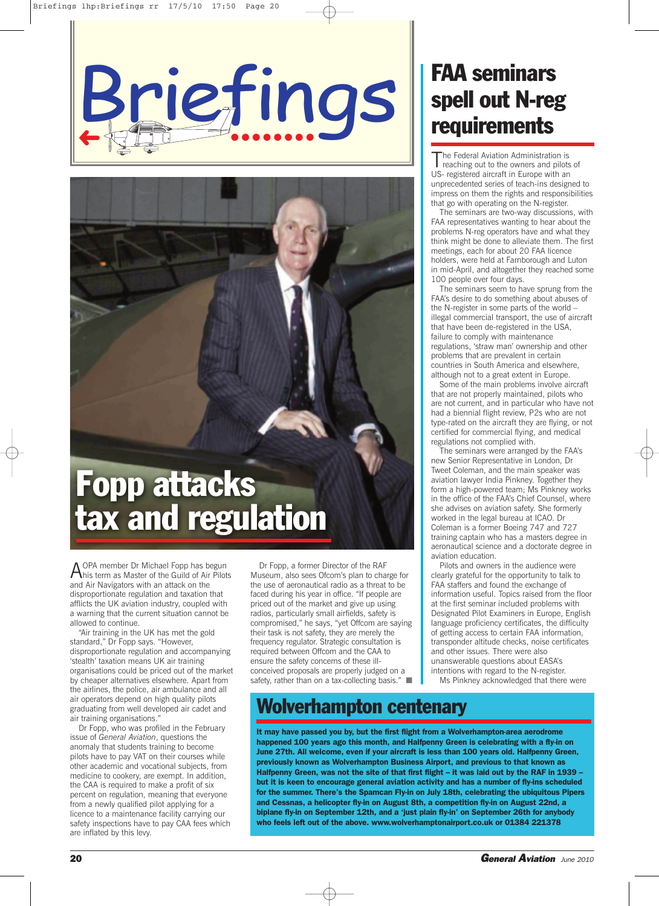

# **Fopp attacks tax and regulation**

AOPA member Dr Michael Fopp has begun **This term as Master of the Guild of Air Pilots** and Air Navigators with an attack on the disproportionate regulation and taxation that afflicts the UK aviation industry, coupled with a warning that the current situation cannot be allowed to continue.

"Air training in the UK has met the gold standard," Dr Fopp says. "However, disproportionate regulation and accompanying 'stealth' taxation means UK air training organisations could be priced out of the market by cheaper alternatives elsewhere. Apart from the airlines, the police, air ambulance and all air operators depend on high quality pilots graduating from well developed air cadet and air training organisations."

Dr Fopp, who was profiled in the February issue of *General Aviation*, questions the anomaly that students training to become pilots have to pay VAT on their courses while other academic and vocational subjects, from medicine to cookery, are exempt. In addition, the CAA is required to make a profit of six percent on regulation, meaning that everyone from a newly qualified pilot applying for a licence to a maintenance facility carrying our safety inspections have to pay CAA fees which are inflated by this levy.

Dr Fopp, a former Director of the RAF Museum, also sees Ofcom's plan to charge for the use of aeronautical radio as a threat to be faced during his year in office. "If people are priced out of the market and give up using radios, particularly small airfields, safety is compromised," he says, "yet Offcom are saying their task is not safety, they are merely the frequency regulator. Strategic consultation is required between Offcom and the CAA to ensure the safety concerns of these illconceived proposals are properly judged on a safety, rather than on a tax-collecting basis." ■

### **FAA seminars spell out N-reg requirements**

The Federal Aviation Administration is<br>reaching out to the owners and pilots of US- registered aircraft in Europe with an unprecedented series of teach-ins designed to impress on them the rights and responsibilities that go with operating on the N-register.

The seminars are two-way discussions, with FAA representatives wanting to hear about the problems N-reg operators have and what they think might be done to alleviate them. The first meetings, each for about 20 FAA licence holders, were held at Farnborough and Luton in mid-April, and altogether they reached some 100 people over four days.

The seminars seem to have sprung from the FAA's desire to do something about abuses of the N-register in some parts of the world – illegal commercial transport, the use of aircraft that have been de-registered in the USA, failure to comply with maintenance regulations, 'straw man' ownership and other problems that are prevalent in certain countries in South America and elsewhere, although not to a great extent in Europe.

Some of the main problems involve aircraft that are not properly maintained, pilots who are not current, and in particular who have not had a biennial flight review, P2s who are not type-rated on the aircraft they are flying, or not certified for commercial flying, and medical regulations not complied with.

The seminars were arranged by the FAA's new Senior Representative in London, Dr Tweet Coleman, and the main speaker was aviation lawyer India Pinkney. Together they form a high-powered team; Ms Pinkney works in the office of the FAA's Chief Counsel, where she advises on aviation safety. She formerly worked in the legal bureau at ICAO. Dr Coleman is a former Boeing 747 and 727 training captain who has a masters degree in aeronautical science and a doctorate degree in aviation education.

Pilots and owners in the audience were clearly grateful for the opportunity to talk to FAA staffers and found the exchange of information useful. Topics raised from the floor at the first seminar included problems with Designated Pilot Examiners in Europe, English language proficiency certificates, the difficulty of getting access to certain FAA information, transponder altitude checks, noise certificates and other issues. There were also unanswerable questions about EASA's intentions with regard to the N-register. Ms Pinkney acknowledged that there were

### **Wolverhampton centenary**

**It may have passed you by, but the first flight from a Wolverhampton-area aerodrome happened 100 years ago this month, and Halfpenny Green is celebrating with a fly-in on June 27th. All welcome, even if your aircraft is less than 100 years old. Halfpenny Green, previously known as Wolverhampton Business Airport, and previous to that known as** Halfpenny Green, was not the site of that first flight - it was laid out by the RAF in 1939 · **but it is keen to encourage general aviation activity and has a number of fly-ins scheduled for the summer. There's the Spamcan Fly-in on July 18th, celebrating the ubiquitous Pipers and Cessnas, a helicopter fly-in on August 8th, a competition fly-in on August 22nd, a biplane fly-in on September 12th, and a 'just plain fly-in' on September 26th for anybody who feels left out of the above. www.wolverhamptonairport.co.uk or 01384 221378**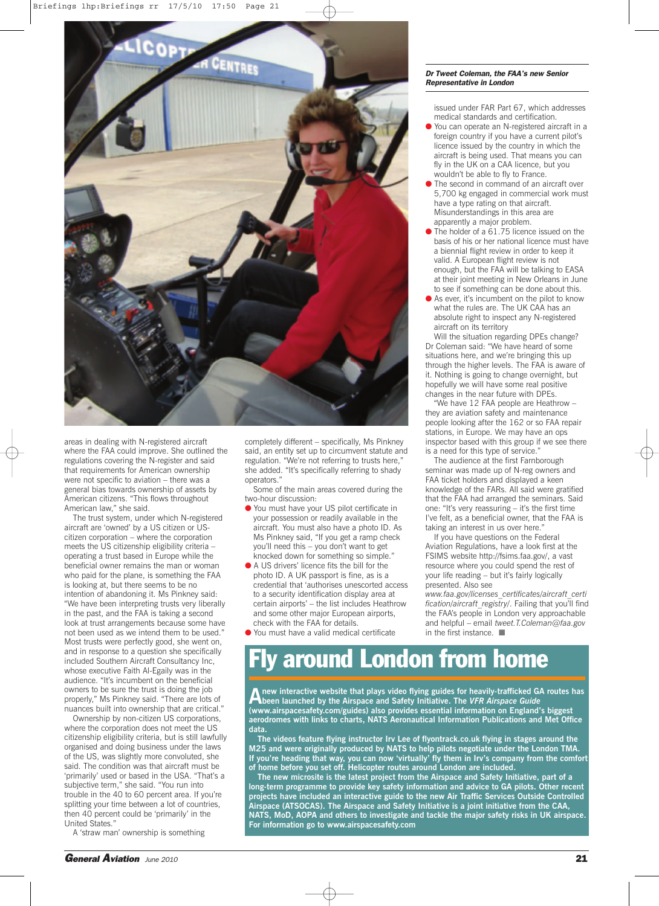

areas in dealing with N-registered aircraft where the FAA could improve. She outlined the regulations covering the N-register and said that requirements for American ownership were not specific to aviation – there was a general bias towards ownership of assets by American citizens. "This flows throughout American law," she said.

The trust system, under which N-registered aircraft are 'owned' by a US citizen or UScitizen corporation – where the corporation meets the US citizenship eligibility criteria – operating a trust based in Europe while the beneficial owner remains the man or woman who paid for the plane, is something the FAA is looking at, but there seems to be no intention of abandoning it. Ms Pinkney said: "We have been interpreting trusts very liberally in the past, and the FAA is taking a second look at trust arrangements because some have not been used as we intend them to be used." Most trusts were perfectly good, she went on, and in response to a question she specifically included Southern Aircraft Consultancy Inc, whose executive Faith Al-Egaily was in the audience. "It's incumbent on the beneficial owners to be sure the trust is doing the job properly," Ms Pinkney said. "There are lots of nuances built into ownership that are critical."

Ownership by non-citizen US corporations, where the corporation does not meet the US citizenship eligibility criteria, but is still lawfully organised and doing business under the laws of the US, was slightly more convoluted, she said. The condition was that aircraft must be 'primarily' used or based in the USA. "That's a subjective term," she said. "You run into trouble in the 40 to 60 percent area. If you're splitting your time between a lot of countries, then 40 percent could be 'primarily' in the United States."

A 'straw man' ownership is something

completely different – specifically, Ms Pinkney said, an entity set up to circumvent statute and regulation. "We're not referring to trusts here," she added. "It's specifically referring to shady operators."

Some of the main areas covered during the two-hour discussion:

- You must have your US pilot certificate in your possession or readily available in the aircraft. You must also have a photo ID. As Ms Pinkney said, "If you get a ramp check you'll need this – you don't want to get knocked down for something so simple."
- A US drivers' licence fits the bill for the photo ID. A UK passport is fine, as is a credential that 'authorises unescorted access to a security identification display area at certain airports' – the list includes Heathrow and some other major European airports, check with the FAA for details.
- You must have a valid medical certificate

#### *Dr Tweet Coleman, the FAA's new Senior Representative in London*

issued under FAR Part 67, which addresses medical standards and certification.

- You can operate an N-registered aircraft in a foreign country if you have a current pilot's licence issued by the country in which the aircraft is being used. That means you can fly in the UK on a CAA licence, but you wouldn't be able to fly to France.
- The second in command of an aircraft over 5,700 kg engaged in commercial work must have a type rating on that aircraft. Misunderstandings in this area are apparently a major problem.
- The holder of a 61.75 licence issued on the basis of his or her national licence must have a biennial flight review in order to keep it valid. A European flight review is not enough, but the FAA will be talking to EASA at their joint meeting in New Orleans in June to see if something can be done about this.
- As ever, it's incumbent on the pilot to know what the rules are. The UK CAA has an absolute right to inspect any N-registered aircraft on its territory

Will the situation regarding DPEs change? Dr Coleman said: "We have heard of some situations here, and we're bringing this up through the higher levels. The FAA is aware of it. Nothing is going to change overnight, but hopefully we will have some real positive changes in the near future with DPEs.

"We have 12 FAA people are Heathrow – they are aviation safety and maintenance people looking after the 162 or so FAA repair stations, in Europe. We may have an ops inspector based with this group if we see there is a need for this type of service."

The audience at the first Farnborough seminar was made up of N-reg owners and FAA ticket holders and displayed a keen knowledge of the FARs. All said were gratified that the FAA had arranged the seminars. Said one: "It's very reassuring – it's the first time I've felt, as a beneficial owner, that the FAA is taking an interest in us over here.'

If you have questions on the Federal Aviation Regulations, have a look first at the FSIMS website http://fsims.faa.gov/, a vast resource where you could spend the rest of your life reading – but it's fairly logically presented. Also see

*www.faa.gov/licenses\_certificates/aircraft\_certi* fication/aircraft\_registry/. Failing that you'll find the FAA's people in London very approachable and helpful – email *tweet.T.Coleman@faa.gov* in the first instance. ■

### **Fly around London from home**

A new interactive website that plays video flying guides for heavily-trafficked GA routes has<br>A been launched by the Airspace and Safety Initiative. The VFR Airspace Guide **(www.airspacesafety.com/guides) also provides essential information on England's biggest aerodromes with links to charts, NATS Aeronautical Information Publications and Met Office data.**

**The videos feature flying instructor Irv Lee of flyontrack.co.uk flying in stages around the M25 and were originally produced by NATS to help pilots negotiate under the London TMA. If you're heading that way, you can now 'virtually' fly them in Irv's company from the comfort of home before you set off. Helicopter routes around London are included.**

**The new microsite is the latest project from the Airspace and Safety Initiative, part of a long-term programme to provide key safety information and advice to GA pilots. Other recent projects have included an interactive guide to the new Air Traffic Services Outside Controlled Airspace (ATSOCAS). The Airspace and Safety Initiative is a joint initiative from the CAA, NATS, MoD, AOPA and others to investigate and tackle the major safety risks in UK airspace. For information go to www.airspacesafety.com**